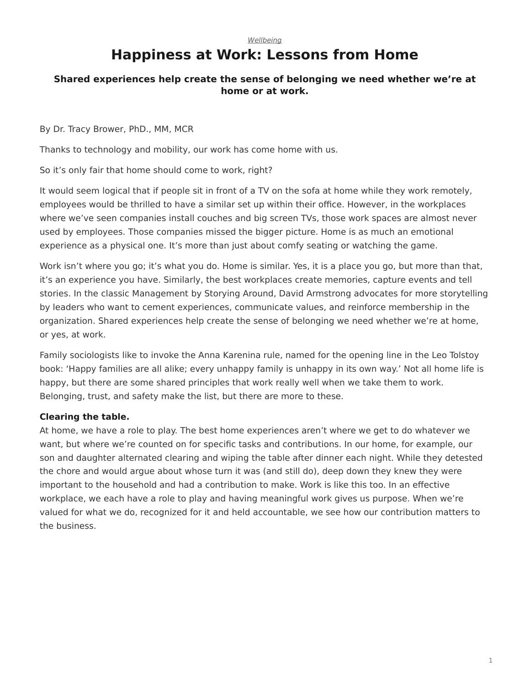#### *[Wellbeing](https://www.steelcase.com/research/topics/wellbeing/)*

# **Happiness at Work: Lessons from Home**

## <span id="page-0-0"></span>**Shared experiences help create the sense of belonging we need whether we're at home or at work.**

By Dr. Tracy Brower, PhD., MM, MCR

Thanks to technology and mobility, our work has come home with us.

So it's only fair that home should come to work, right?

It would seem logical that if people sit in front of a TV on the sofa at home while they work remotely, employees would be thrilled to have a similar set up within their office. However, in the workplaces where we've seen companies install couches and big screen TVs, those work spaces are almost never used by employees. Those companies missed the bigger picture. Home is as much an emotional experience as a physical one. It's more than just about comfy seating or watching the game.

Work isn't where you go; it's what you do. Home is similar. Yes, it is a place you go, but more than that, it's an experience you have. Similarly, the best workplaces create memories, capture events and tell stories. In the classic Management by Storying Around, David Armstrong advocates for more storytelling by leaders who want to cement experiences, communicate values, and reinforce membership in the organization. Shared experiences help create the sense of belonging we need whether we're at home, or yes, at work.

Family sociologists like to invoke the Anna Karenina rule, named for the opening line in the Leo Tolstoy book: 'Happy families are all alike; every unhappy family is unhappy in its own way.' Not all home life is happy, but there are some shared principles that work really well when we take them to work. Belonging, trust, and safety make the list, but there are more to these.

#### **Clearing the table.**

At home, we have a role to play. The best home experiences aren't where we get to do whatever we want, but where we're counted on for specific tasks and contributions. In our home, for example, our son and daughter alternated clearing and wiping the table after dinner each night. While they detested the chore and would argue about whose turn it was (and still do), deep down they knew they were important to the household and had a contribution to make. Work is like this too. In an effective workplace, we each have a role to play and having meaningful work gives us purpose. When we're valued for what we do, recognized for it and held accountable, we see how our contribution matters to the business.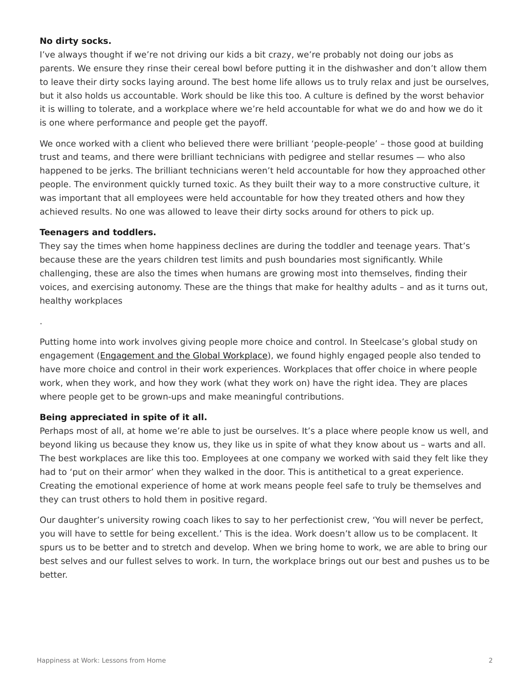### **No dirty socks.**

I've always thought if we're not driving our kids a bit crazy, we're probably not doing our jobs as parents. We ensure they rinse their cereal bowl before putting it in the dishwasher and don't allow them to leave their dirty socks laying around. The best home life allows us to truly relax and just be ourselves, but it also holds us accountable. Work should be like this too. A culture is defined by the worst behavior it is willing to tolerate, and a workplace where we're held accountable for what we do and how we do it is one where performance and people get the payoff.

We once worked with a client who believed there were brilliant 'people-people' – those good at building trust and teams, and there were brilliant technicians with pedigree and stellar resumes — who also happened to be jerks. The brilliant technicians weren't held accountable for how they approached other people. The environment quickly turned toxic. As they built their way to a more constructive culture, it was important that all employees were held accountable for how they treated others and how they achieved results. No one was allowed to leave their dirty socks around for others to pick up.

#### **Teenagers and toddlers.**

.

They say the times when home happiness declines are during the toddler and teenage years. That's because these are the years children test limits and push boundaries most significantly. While challenging, these are also the times when humans are growing most into themselves, finding their voices, and exercising autonomy. These are the things that make for healthy adults – and as it turns out, healthy workplaces

Putting home into work involves giving people more choice and control. In Steelcase's global study on engagement ([Engagement and the Global Workplace](https://www.steelcase.com/steelcase-global-report/)), we found highly engaged people also tended to have more choice and control in their work experiences. Workplaces that offer choice in where people work, when they work, and how they work (what they work on) have the right idea. They are places where people get to be grown-ups and make meaningful contributions.

#### **Being appreciated in spite of it all.**

Perhaps most of all, at home we're able to just be ourselves. It's a place where people know us well, and beyond liking us because they know us, they like us in spite of what they know about us – warts and all. The best workplaces are like this too. Employees at one company we worked with said they felt like they had to 'put on their armor' when they walked in the door. This is antithetical to a great experience. Creating the emotional experience of home at work means people feel safe to truly be themselves and they can trust others to hold them in positive regard.

Our daughter's university rowing coach likes to say to her perfectionist crew, 'You will never be perfect, you will have to settle for being excellent.' This is the idea. Work doesn't allow us to be complacent. It spurs us to be better and to stretch and develop. When we bring home to work, we are able to bring our best selves and our fullest selves to work. In turn, the workplace brings out our best and pushes us to be better.